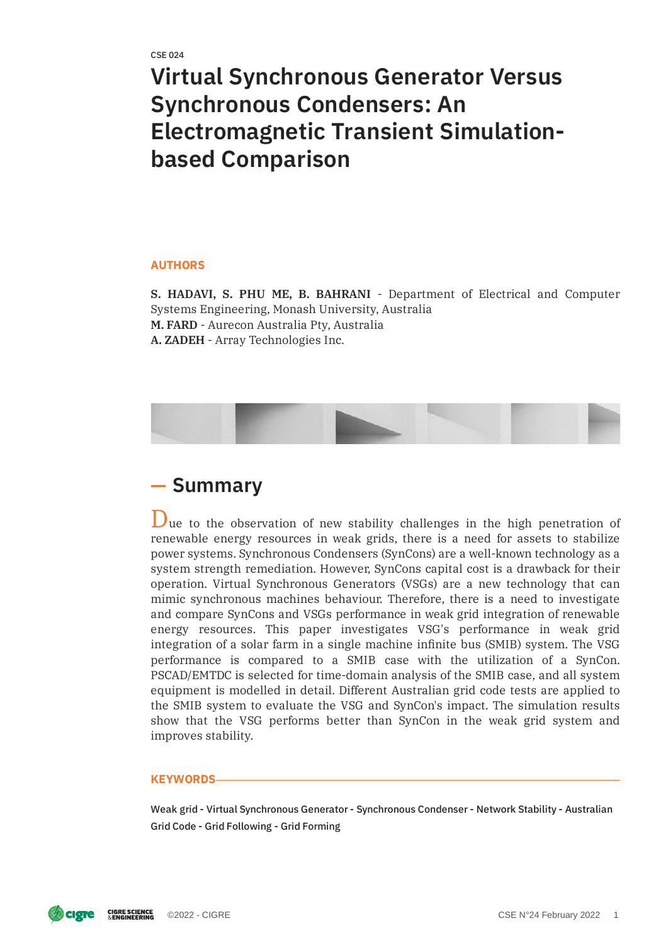# **Virtual Synchronous Generator Versus Synchronous Condensers: An Electromagnetic Transient Simulationbased Comparison**

#### **AUTHORS**

**S. HADAVI, S. PHU ME, B. BAHRANI** - Department of Electrical and Computer Systems Engineering, Monash University, Australia **M. FARD** - Aurecon Australia Pty, Australia **A. ZADEH** - Array Technologies Inc.



## **Summary**

Due to the observation of new stability challenges in the high penetration of renewable energy resources in weak grids, there is a need for assets to stabilize power systems. Synchronous Condensers (SynCons) are a well-known technology as a system strength remediation. However, SynCons capital cost is a drawback for their operation. Virtual Synchronous Generators (VSGs) are a new technology that can mimic synchronous machines behaviour. Therefore, there is a need to investigate and compare SynCons and VSGs performance in weak grid integration of renewable energy resources. This paper investigates VSG's performance in weak grid integration of a solar farm in a single machine infinite bus (SMIB) system. The VSG performance is compared to a SMIB case with the utilization of a SynCon. PSCAD/EMTDC is selected for time-domain analysis of the SMIB case, and all system equipment is modelled in detail. Different Australian grid code tests are applied to the SMIB system to evaluate the VSG and SynCon's impact. The simulation results show that the VSG performs better than SynCon in the weak grid system and improves stability.

#### **KEYWORDS**

Weak grid - Virtual Synchronous Generator - Synchronous Condenser - Network Stability - Australian Grid Code - Grid Following - Grid Forming

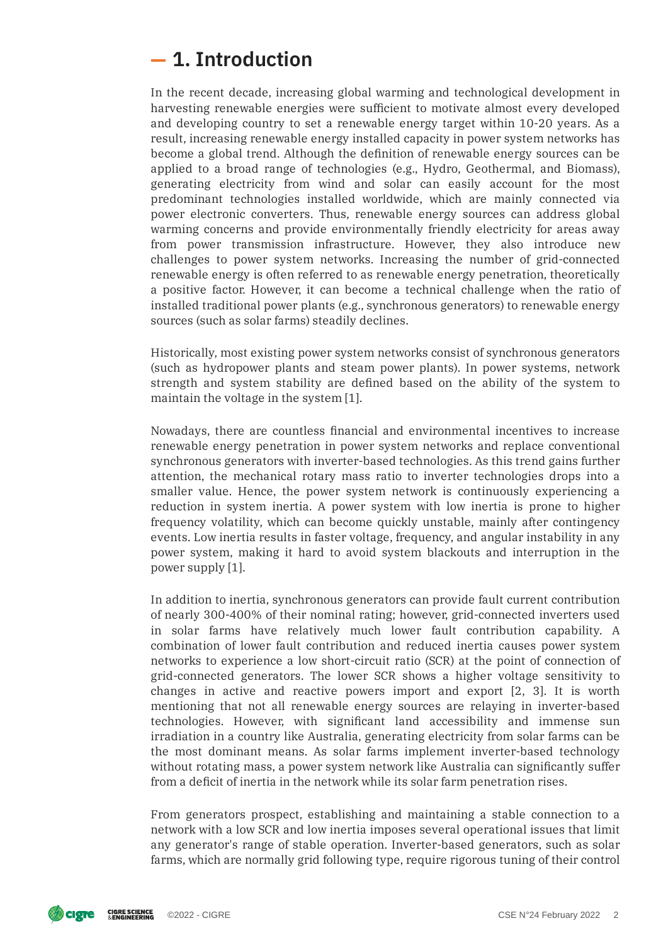# **1. Introduction**

In the recent decade, increasing global warming and technological development in harvesting renewable energies were sufficient to motivate almost every developed and developing country to set a renewable energy target within 10-20 years. As a result, increasing renewable energy installed capacity in power system networks has become a global trend. Although the definition of renewable energy sources can be applied to a broad range of technologies (e.g., Hydro, Geothermal, and Biomass), generating electricity from wind and solar can easily account for the most predominant technologies installed worldwide, which are mainly connected via power electronic converters. Thus, renewable energy sources can address global warming concerns and provide environmentally friendly electricity for areas away from power transmission infrastructure. However, they also introduce new challenges to power system networks. Increasing the number of grid-connected renewable energy is often referred to as renewable energy penetration, theoretically a positive factor. However, it can become a technical challenge when the ratio of installed traditional power plants (e.g., synchronous generators) to renewable energy sources (such as solar farms) steadily declines.

Historically, most existing power system networks consist of synchronous generators (such as hydropower plants and steam power plants). In power systems, network strength and system stability are defined based on the ability of the system to maintain the voltage in the system [1].

Nowadays, there are countless nancial and environmental incentives to increase renewable energy penetration in power system networks and replace conventional synchronous generators with inverter-based technologies. As this trend gains further attention, the mechanical rotary mass ratio to inverter technologies drops into a smaller value. Hence, the power system network is continuously experiencing a reduction in system inertia. A power system with low inertia is prone to higher frequency volatility, which can become quickly unstable, mainly after contingency events. Low inertia results in faster voltage, frequency, and angular instability in any power system, making it hard to avoid system blackouts and interruption in the power supply [1].

In addition to inertia, synchronous generators can provide fault current contribution of nearly 300-400% of their nominal rating; however, grid-connected inverters used in solar farms have relatively much lower fault contribution capability. A combination of lower fault contribution and reduced inertia causes power system networks to experience a low short-circuit ratio (SCR) at the point of connection of grid-connected generators. The lower SCR shows a higher voltage sensitivity to changes in active and reactive powers import and export [2, 3]. It is worth mentioning that not all renewable energy sources are relaying in inverter-based technologies. However, with significant land accessibility and immense sun irradiation in a country like Australia, generating electricity from solar farms can be the most dominant means. As solar farms implement inverter-based technology without rotating mass, a power system network like Australia can significantly suffer from a deficit of inertia in the network while its solar farm penetration rises.

From generators prospect, establishing and maintaining a stable connection to a network with a low SCR and low inertia imposes several operational issues that limit any generator's range of stable operation. Inverter-based generators, such as solar farms, which are normally grid following type, require rigorous tuning of their control

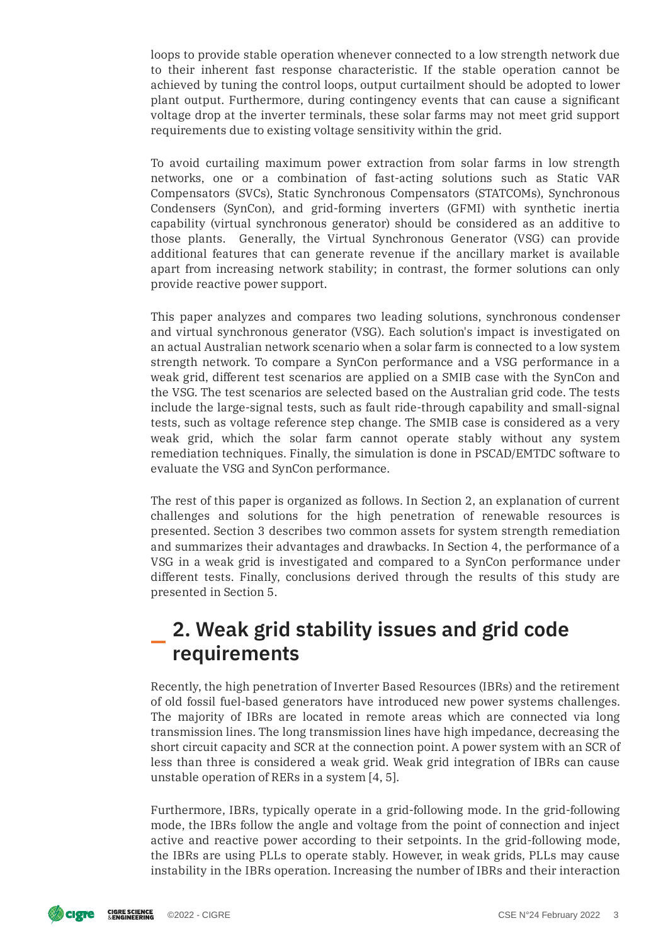loops to provide stable operation whenever connected to a low strength network due to their inherent fast response characteristic. If the stable operation cannot be achieved by tuning the control loops, output curtailment should be adopted to lower plant output. Furthermore, during contingency events that can cause a signicant voltage drop at the inverter terminals, these solar farms may not meet grid support requirements due to existing voltage sensitivity within the grid.

To avoid curtailing maximum power extraction from solar farms in low strength networks, one or a combination of fast-acting solutions such as Static VAR Compensators (SVCs), Static Synchronous Compensators (STATCOMs), Synchronous Condensers (SynCon), and grid-forming inverters (GFMI) with synthetic inertia capability (virtual synchronous generator) should be considered as an additive to those plants. Generally, the Virtual Synchronous Generator (VSG) can provide additional features that can generate revenue if the ancillary market is available apart from increasing network stability; in contrast, the former solutions can only provide reactive power support.

This paper analyzes and compares two leading solutions, synchronous condenser and virtual synchronous generator (VSG). Each solution's impact is investigated on an actual Australian network scenario when a solar farm is connected to a low system strength network. To compare a SynCon performance and a VSG performance in a weak grid, different test scenarios are applied on a SMIB case with the SynCon and the VSG. The test scenarios are selected based on the Australian grid code. The tests include the large-signal tests, such as fault ride-through capability and small-signal tests, such as voltage reference step change. The SMIB case is considered as a very weak grid, which the solar farm cannot operate stably without any system remediation techniques. Finally, the simulation is done in PSCAD/EMTDC software to evaluate the VSG and SynCon performance.

The rest of this paper is organized as follows. In Section 2, an explanation of current challenges and solutions for the high penetration of renewable resources is presented. Section 3 describes two common assets for system strength remediation and summarizes their advantages and drawbacks. In Section 4, the performance of a VSG in a weak grid is investigated and compared to a SynCon performance under different tests. Finally, conclusions derived through the results of this study are presented in Section 5.

# **2. Weak grid stability issues and grid code requirements**

Recently, the high penetration of Inverter Based Resources (IBRs) and the retirement of old fossil fuel-based generators have introduced new power systems challenges. The majority of IBRs are located in remote areas which are connected via long transmission lines. The long transmission lines have high impedance, decreasing the short circuit capacity and SCR at the connection point. A power system with an SCR of less than three is considered a weak grid. Weak grid integration of IBRs can cause unstable operation of RERs in a system [4, 5].

Furthermore, IBRs, typically operate in a grid-following mode. In the grid-following mode, the IBRs follow the angle and voltage from the point of connection and inject active and reactive power according to their setpoints. In the grid-following mode, the IBRs are using PLLs to operate stably. However, in weak grids, PLLs may cause instability in the IBRs operation. Increasing the number of IBRs and their interaction

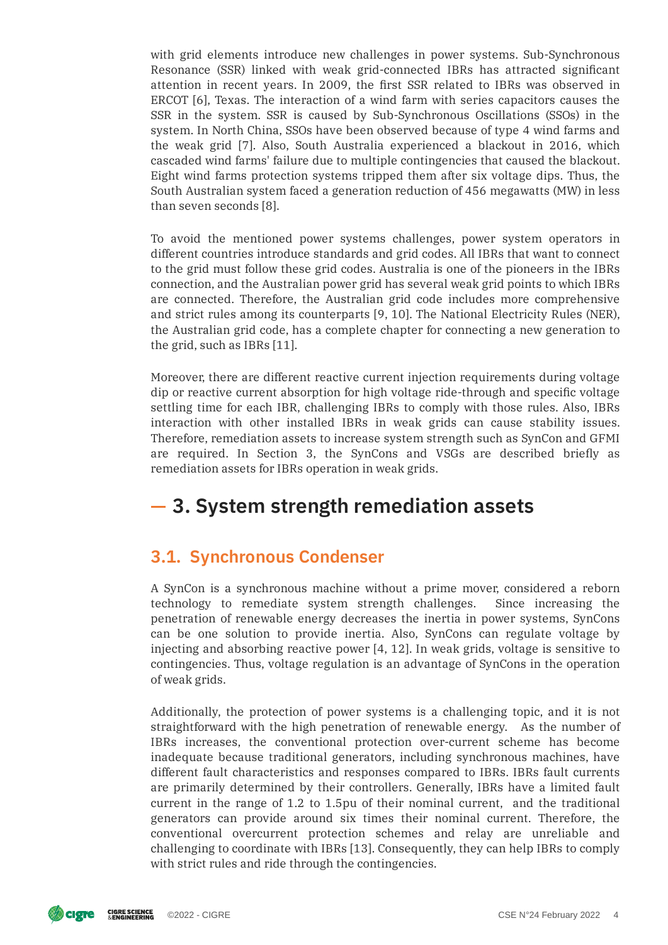with grid elements introduce new challenges in power systems. Sub-Synchronous Resonance (SSR) linked with weak grid-connected IBRs has attracted significant attention in recent years. In 2009, the first SSR related to IBRs was observed in ERCOT [6], Texas. The interaction of a wind farm with series capacitors causes the SSR in the system. SSR is caused by Sub-Synchronous Oscillations (SSOs) in the system. In North China, SSOs have been observed because of type 4 wind farms and the weak grid [7]. Also, South Australia experienced a blackout in 2016, which cascaded wind farms' failure due to multiple contingencies that caused the blackout. Eight wind farms protection systems tripped them after six voltage dips. Thus, the South Australian system faced a generation reduction of 456 megawatts (MW) in less than seven seconds [8].

To avoid the mentioned power systems challenges, power system operators in different countries introduce standards and grid codes. All IBRs that want to connect to the grid must follow these grid codes. Australia is one of the pioneers in the IBRs connection, and the Australian power grid has several weak grid points to which IBRs are connected. Therefore, the Australian grid code includes more comprehensive and strict rules among its counterparts [9, 10]. The National Electricity Rules (NER), the Australian grid code, has a complete chapter for connecting a new generation to the grid, such as IBRs [11].

Moreover, there are different reactive current injection requirements during voltage dip or reactive current absorption for high voltage ride-through and specific voltage settling time for each IBR, challenging IBRs to comply with those rules. Also, IBRs interaction with other installed IBRs in weak grids can cause stability issues. Therefore, remediation assets to increase system strength such as SynCon and GFMI are required. In Section 3, the SynCons and VSGs are described briefly as remediation assets for IBRs operation in weak grids.

# **3. System strength remediation assets**

### **3.1. Synchronous Condenser**

A SynCon is a synchronous machine without a prime mover, considered a reborn technology to remediate system strength challenges. Since increasing the penetration of renewable energy decreases the inertia in power systems, SynCons can be one solution to provide inertia. Also, SynCons can regulate voltage by injecting and absorbing reactive power [4, 12]. In weak grids, voltage is sensitive to contingencies. Thus, voltage regulation is an advantage of SynCons in the operation of weak grids.

Additionally, the protection of power systems is a challenging topic, and it is not straightforward with the high penetration of renewable energy. As the number of IBRs increases, the conventional protection over-current scheme has become inadequate because traditional generators, including synchronous machines, have different fault characteristics and responses compared to IBRs. IBRs fault currents are primarily determined by their controllers. Generally, IBRs have a limited fault current in the range of 1.2 to 1.5pu of their nominal current, and the traditional generators can provide around six times their nominal current. Therefore, the conventional overcurrent protection schemes and relay are unreliable and challenging to coordinate with IBRs [13]. Consequently, they can help IBRs to comply with strict rules and ride through the contingencies.

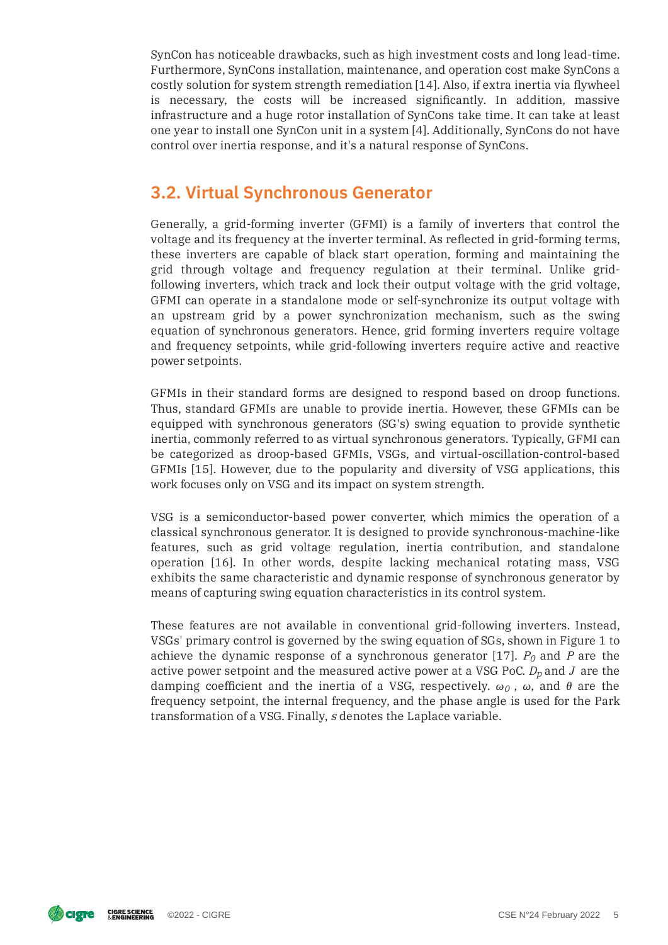SynCon has noticeable drawbacks, such as high investment costs and long lead-time. Furthermore, SynCons installation, maintenance, and operation cost make SynCons a costly solution for system strength remediation [14]. Also, if extra inertia via flywheel is necessary, the costs will be increased signicantly. In addition, massive infrastructure and a huge rotor installation of SynCons take time. It can take at least one year to install one SynCon unit in a system [4]. Additionally, SynCons do not have control over inertia response, and it's a natural response of SynCons.

### **3.2. Virtual Synchronous Generator**

Generally, a grid-forming inverter (GFMI) is a family of inverters that control the voltage and its frequency at the inverter terminal. As reflected in grid-forming terms, these inverters are capable of black start operation, forming and maintaining the grid through voltage and frequency regulation at their terminal. Unlike gridfollowing inverters, which track and lock their output voltage with the grid voltage, GFMI can operate in a standalone mode or self-synchronize its output voltage with an upstream grid by a power synchronization mechanism, such as the swing equation of synchronous generators. Hence, grid forming inverters require voltage and frequency setpoints, while grid-following inverters require active and reactive power setpoints.

GFMIs in their standard forms are designed to respond based on droop functions. Thus, standard GFMIs are unable to provide inertia. However, these GFMIs can be equipped with synchronous generators (SG's) swing equation to provide synthetic inertia, commonly referred to as virtual synchronous generators. Typically, GFMI can be categorized as droop-based GFMIs, VSGs, and virtual-oscillation-control-based GFMIs [15]. However, due to the popularity and diversity of VSG applications, this work focuses only on VSG and its impact on system strength.

VSG is a semiconductor-based power converter, which mimics the operation of a classical synchronous generator. It is designed to provide synchronous-machine-like features, such as grid voltage regulation, inertia contribution, and standalone operation [16]. In other words, despite lacking mechanical rotating mass, VSG exhibits the same characteristic and dynamic response of synchronous generator by means of capturing swing equation characteristics in its control system.

These features are not available in conventional grid-following inverters. Instead, VSGs' primary control is governed by the swing equation of SGs, shown in Figure 1 to achieve the dynamic response of a synchronous generator [17].  $P<sub>0</sub>$  and P are the active power setpoint and the measured active power at a VSG PoC.  $D_p$  and  $J$  are the damping coefficient and the inertia of a VSG, respectively.  $\omega_0$  ,  $\omega$ , and  $\theta$  are the frequency setpoint, the internal frequency, and the phase angle is used for the Park transformation of a VSG. Finally, s denotes the Laplace variable.

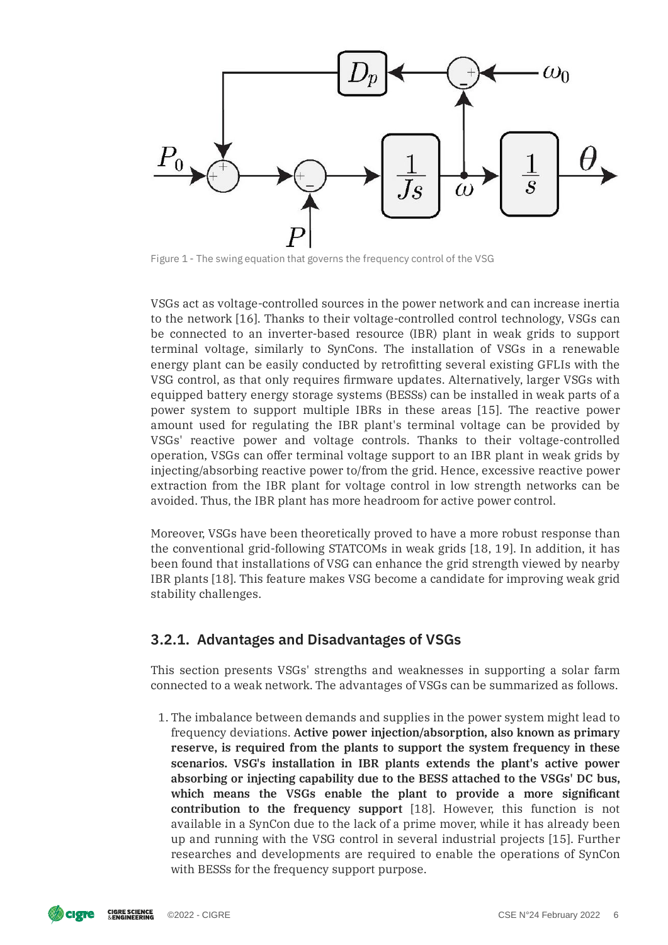

Figure 1 - The swing equation that governs the frequency control of the VSG

VSGs act as voltage-controlled sources in the power network and can increase inertia to the network [16]. Thanks to their voltage-controlled control technology, VSGs can be connected to an inverter-based resource (IBR) plant in weak grids to support terminal voltage, similarly to SynCons. The installation of VSGs in a renewable energy plant can be easily conducted by retrofitting several existing GFLIs with the VSG control, as that only requires firmware updates. Alternatively, larger VSGs with equipped battery energy storage systems (BESSs) can be installed in weak parts of a power system to support multiple IBRs in these areas [15]. The reactive power amount used for regulating the IBR plant's terminal voltage can be provided by VSGs' reactive power and voltage controls. Thanks to their voltage-controlled operation, VSGs can offer terminal voltage support to an IBR plant in weak grids by injecting/absorbing reactive power to/from the grid. Hence, excessive reactive power extraction from the IBR plant for voltage control in low strength networks can be avoided. Thus, the IBR plant has more headroom for active power control.

Moreover, VSGs have been theoretically proved to have a more robust response than the conventional grid-following STATCOMs in weak grids [18, 19]. In addition, it has been found that installations of VSG can enhance the grid strength viewed by nearby IBR plants [18]. This feature makes VSG become a candidate for improving weak grid stability challenges.

#### **3.2.1. Advantages and Disadvantages of VSGs**

This section presents VSGs' strengths and weaknesses in supporting a solar farm connected to a weak network. The advantages of VSGs can be summarized as follows.

1. The imbalance between demands and supplies in the power system might lead to frequency deviations. **Active power injection/absorption, also known as primary reserve, is required from the plants to support the system frequency in these scenarios. VSG's installation in IBR plants extends the plant's active power absorbing or injecting capability due to the BESS attached to the VSGs' DC bus, which means the VSGs enable the plant to provide a more signicant contribution to the frequency support** [18]. However, this function is not available in a SynCon due to the lack of a prime mover, while it has already been up and running with the VSG control in several industrial projects [15]. Further researches and developments are required to enable the operations of SynCon with BESSs for the frequency support purpose.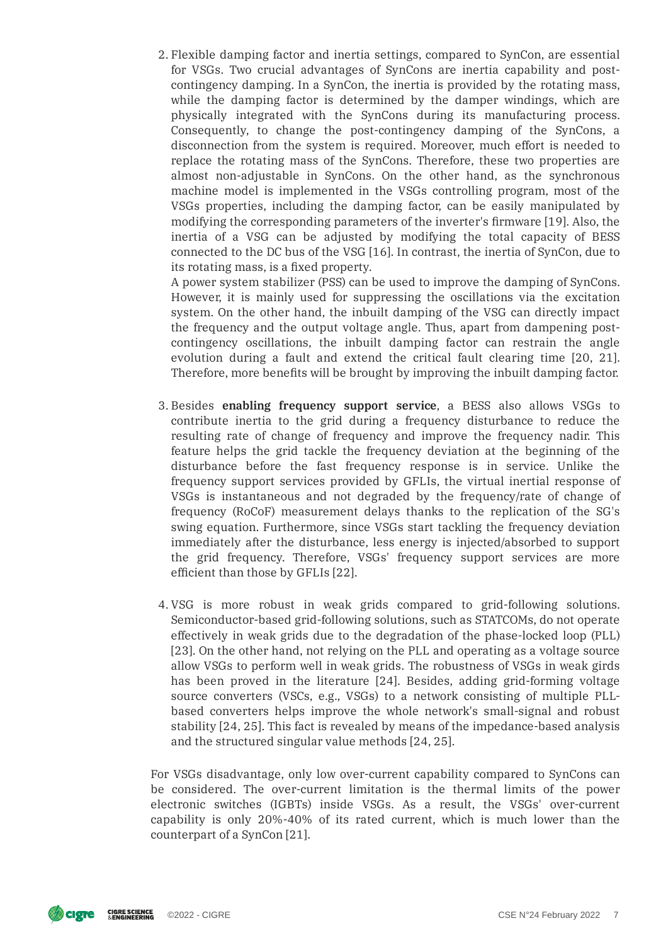2. Flexible damping factor and inertia settings, compared to SynCon, are essential for VSGs. Two crucial advantages of SynCons are inertia capability and postcontingency damping. In a SynCon, the inertia is provided by the rotating mass, while the damping factor is determined by the damper windings, which are physically integrated with the SynCons during its manufacturing process. Consequently, to change the post-contingency damping of the SynCons, a disconnection from the system is required. Moreover, much effort is needed to replace the rotating mass of the SynCons. Therefore, these two properties are almost non-adjustable in SynCons. On the other hand, as the synchronous machine model is implemented in the VSGs controlling program, most of the VSGs properties, including the damping factor, can be easily manipulated by modifying the corresponding parameters of the inverter's firmware [19]. Also, the inertia of a VSG can be adjusted by modifying the total capacity of BESS connected to the DC bus of the VSG [16]. In contrast, the inertia of SynCon, due to its rotating mass, is a fixed property.

A power system stabilizer (PSS) can be used to improve the damping of SynCons. However, it is mainly used for suppressing the oscillations via the excitation system. On the other hand, the inbuilt damping of the VSG can directly impact the frequency and the output voltage angle. Thus, apart from dampening postcontingency oscillations, the inbuilt damping factor can restrain the angle evolution during a fault and extend the critical fault clearing time [20, 21]. Therefore, more benefits will be brought by improving the inbuilt damping factor.

- 3. Besides **enabling frequency support service**, a BESS also allows VSGs to contribute inertia to the grid during a frequency disturbance to reduce the resulting rate of change of frequency and improve the frequency nadir. This feature helps the grid tackle the frequency deviation at the beginning of the disturbance before the fast frequency response is in service. Unlike the frequency support services provided by GFLIs, the virtual inertial response of VSGs is instantaneous and not degraded by the frequency/rate of change of frequency (RoCoF) measurement delays thanks to the replication of the SG's swing equation. Furthermore, since VSGs start tackling the frequency deviation immediately after the disturbance, less energy is injected/absorbed to support the grid frequency. Therefore, VSGs' frequency support services are more efficient than those by GFLIs [22].
- 4. VSG is more robust in weak grids compared to grid-following solutions. Semiconductor-based grid-following solutions, such as STATCOMs, do not operate effectively in weak grids due to the degradation of the phase-locked loop (PLL) [23]. On the other hand, not relying on the PLL and operating as a voltage source allow VSGs to perform well in weak grids. The robustness of VSGs in weak girds has been proved in the literature [24]. Besides, adding grid-forming voltage source converters (VSCs, e.g., VSGs) to a network consisting of multiple PLLbased converters helps improve the whole network's small-signal and robust stability [24, 25]. This fact is revealed by means of the impedance-based analysis and the structured singular value methods [24, 25].

For VSGs disadvantage, only low over-current capability compared to SynCons can be considered. The over-current limitation is the thermal limits of the power electronic switches (IGBTs) inside VSGs. As a result, the VSGs' over-current capability is only 20%-40% of its rated current, which is much lower than the counterpart of a SynCon [21].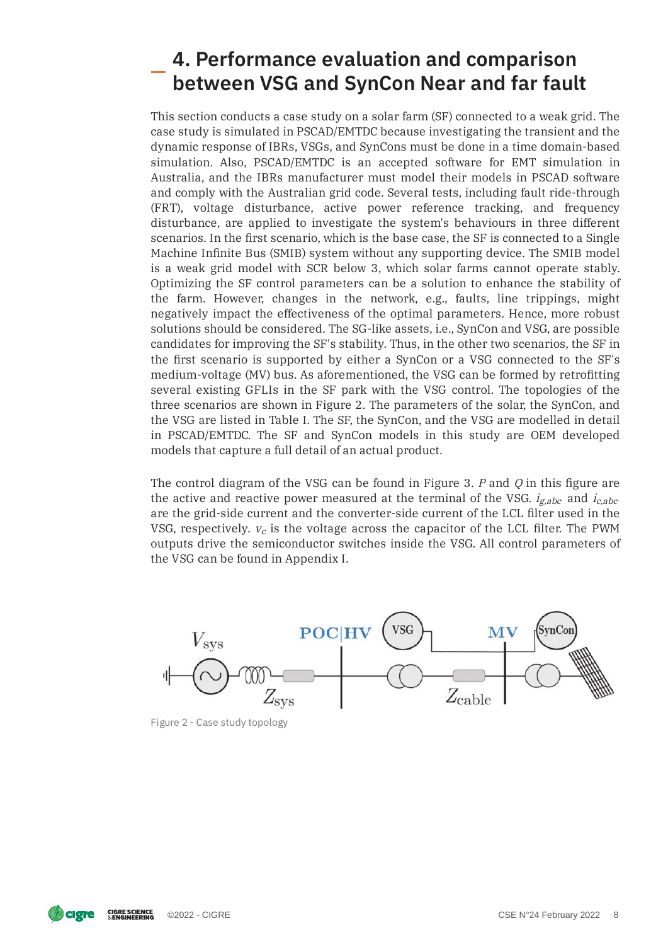# **4. Performance evaluation and comparison between VSG and SynCon Near and far fault**

This section conducts a case study on a solar farm (SF) connected to a weak grid. The case study is simulated in PSCAD/EMTDC because investigating the transient and the dynamic response of IBRs, VSGs, and SynCons must be done in a time domain-based simulation. Also, PSCAD/EMTDC is an accepted software for EMT simulation in Australia, and the IBRs manufacturer must model their models in PSCAD software and comply with the Australian grid code. Several tests, including fault ride-through (FRT), voltage disturbance, active power reference tracking, and frequency disturbance, are applied to investigate the system's behaviours in three different scenarios. In the first scenario, which is the base case, the SF is connected to a Single Machine Infinite Bus (SMIB) system without any supporting device. The SMIB model is a weak grid model with SCR below 3, which solar farms cannot operate stably. Optimizing the SF control parameters can be a solution to enhance the stability of the farm. However, changes in the network, e.g., faults, line trippings, might negatively impact the effectiveness of the optimal parameters. Hence, more robust solutions should be considered. The SG-like assets, i.e., SynCon and VSG, are possible candidates for improving the SF's stability. Thus, in the other two scenarios, the SF in the first scenario is supported by either a SynCon or a VSG connected to the SF's medium-voltage (MV) bus. As aforementioned, the VSG can be formed by retrofitting several existing GFLIs in the SF park with the VSG control. The topologies of the three scenarios are shown in Figure 2. The parameters of the solar, the SynCon, and the VSG are listed in Table I. The SF, the SynCon, and the VSG are modelled in detail in PSCAD/EMTDC. The SF and SynCon models in this study are OEM developed models that capture a full detail of an actual product.

The control diagram of the VSG can be found in Figure 3.  $P$  and  $Q$  in this figure are the active and reactive power measured at the terminal of the VSG.  $i_{\emph{g,abc}}$  and  $i_{\emph{c,abc}}$ are the grid-side current and the converter-side current of the LCL filter used in the VSG, respectively.  $v_c$  is the voltage across the capacitor of the LCL filter. The PWM outputs drive the semiconductor switches inside the VSG. All control parameters of the VSG can be found in Appendix I.



Figure 2 - Case study topology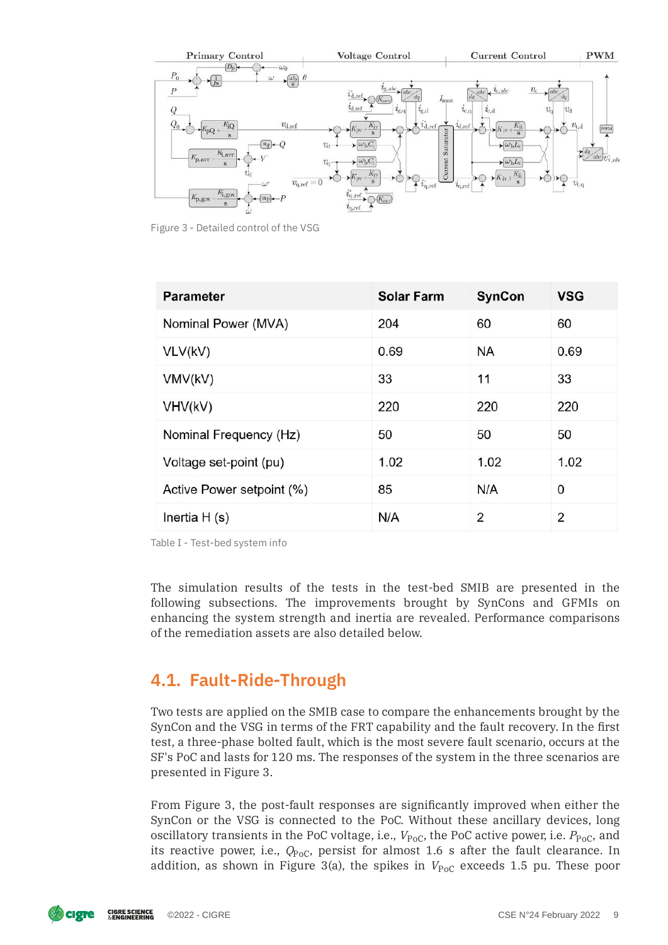

Figure 3 - Detailed control of the VSG

| <b>Parameter</b>          | <b>Solar Farm</b> | <b>SynCon</b> | <b>VSG</b> |
|---------------------------|-------------------|---------------|------------|
| Nominal Power (MVA)       | 204               | 60            | 60         |
| VLV(kV)                   | 0.69              | <b>NA</b>     | 0.69       |
| VMV(kV)                   | 33                | 11            | 33         |
| VHV(kV)                   | 220               | 220           | 220        |
| Nominal Frequency (Hz)    | 50                | 50            | 50         |
| Voltage set-point (pu)    | 1.02              | 1.02          | 1.02       |
| Active Power setpoint (%) | 85                | N/A           | 0          |
| Inertia $H(s)$            | N/A               | 2             | 2          |

Table I - Test-bed system info

The simulation results of the tests in the test-bed SMIB are presented in the following subsections. The improvements brought by SynCons and GFMIs on enhancing the system strength and inertia are revealed. Performance comparisons of the remediation assets are also detailed below.

### **4.1. Fault-Ride-Through**

Two tests are applied on the SMIB case to compare the enhancements brought by the SynCon and the VSG in terms of the FRT capability and the fault recovery. In the first test, a three-phase bolted fault, which is the most severe fault scenario, occurs at the SF's PoC and lasts for 120 ms. The responses of the system in the three scenarios are presented in Figure 3.

From Figure 3, the post-fault responses are signicantly improved when either the SynCon or the VSG is connected to the PoC. Without these ancillary devices, long oscillatory transients in the PoC voltage, i.e.,  $V_{\rm PoC}$ , the PoC active power, i.e.  $P_{\rm PoC}$ , and its reactive power, i.e.,  $Q_{\rm PC}$ , persist for almost 1.6 s after the fault clearance. In addition, as shown in Figure 3(a), the spikes in  $V_{\rm{PoC}}$  exceeds 1.5 pu. These poor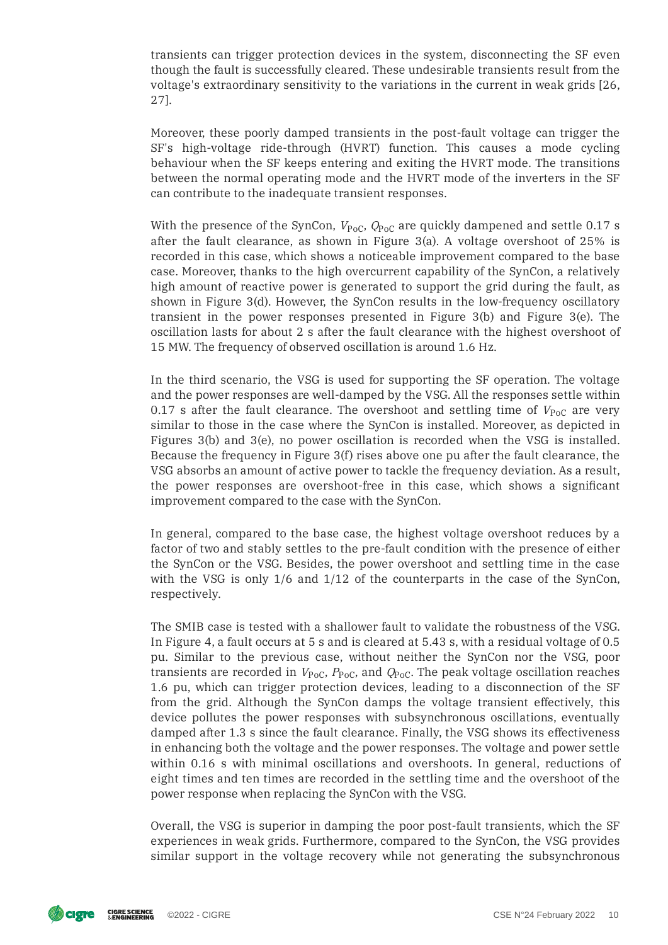transients can trigger protection devices in the system, disconnecting the SF even though the fault is successfully cleared. These undesirable transients result from the voltage's extraordinary sensitivity to the variations in the current in weak grids [26, 27].

Moreover, these poorly damped transients in the post-fault voltage can trigger the SF's high-voltage ride-through (HVRT) function. This causes a mode cycling behaviour when the SF keeps entering and exiting the HVRT mode. The transitions between the normal operating mode and the HVRT mode of the inverters in the SF can contribute to the inadequate transient responses.

With the presence of the SynCon,  $V_{\rm PoC}$ ,  $Q_{\rm PoC}$  are quickly dampened and settle 0.17 s after the fault clearance, as shown in Figure 3(a). A voltage overshoot of 25% is recorded in this case, which shows a noticeable improvement compared to the base case. Moreover, thanks to the high overcurrent capability of the SynCon, a relatively high amount of reactive power is generated to support the grid during the fault, as shown in Figure 3(d). However, the SynCon results in the low-frequency oscillatory transient in the power responses presented in Figure 3(b) and Figure 3(e). The oscillation lasts for about 2 s after the fault clearance with the highest overshoot of 15 MW. The frequency of observed oscillation is around 1.6 Hz.

In the third scenario, the VSG is used for supporting the SF operation. The voltage and the power responses are well-damped by the VSG. All the responses settle within 0.17 s after the fault clearance. The overshoot and settling time of  $V_{\rm PoC}$  are very similar to those in the case where the SynCon is installed. Moreover, as depicted in Figures 3(b) and 3(e), no power oscillation is recorded when the VSG is installed. Because the frequency in Figure 3(f) rises above one pu after the fault clearance, the VSG absorbs an amount of active power to tackle the frequency deviation. As a result, the power responses are overshoot-free in this case, which shows a signicant improvement compared to the case with the SynCon.

In general, compared to the base case, the highest voltage overshoot reduces by a factor of two and stably settles to the pre-fault condition with the presence of either the SynCon or the VSG. Besides, the power overshoot and settling time in the case with the VSG is only  $1/6$  and  $1/12$  of the counterparts in the case of the SynCon, respectively.

The SMIB case is tested with a shallower fault to validate the robustness of the VSG. In Figure 4, a fault occurs at 5 s and is cleared at 5.43 s, with a residual voltage of 0.5 pu. Similar to the previous case, without neither the SynCon nor the VSG, poor transients are recorded in  $V_{\rm PoC}$ ,  $P_{\rm PoC}$ , and  $Q_{\rm PoC}$ . The peak voltage oscillation reaches 1.6 pu, which can trigger protection devices, leading to a disconnection of the SF from the grid. Although the SynCon damps the voltage transient effectively, this device pollutes the power responses with subsynchronous oscillations, eventually damped after 1.3 s since the fault clearance. Finally, the VSG shows its effectiveness in enhancing both the voltage and the power responses. The voltage and power settle within 0.16 s with minimal oscillations and overshoots. In general, reductions of eight times and ten times are recorded in the settling time and the overshoot of the power response when replacing the SynCon with the VSG.

Overall, the VSG is superior in damping the poor post-fault transients, which the SF experiences in weak grids. Furthermore, compared to the SynCon, the VSG provides similar support in the voltage recovery while not generating the subsynchronous

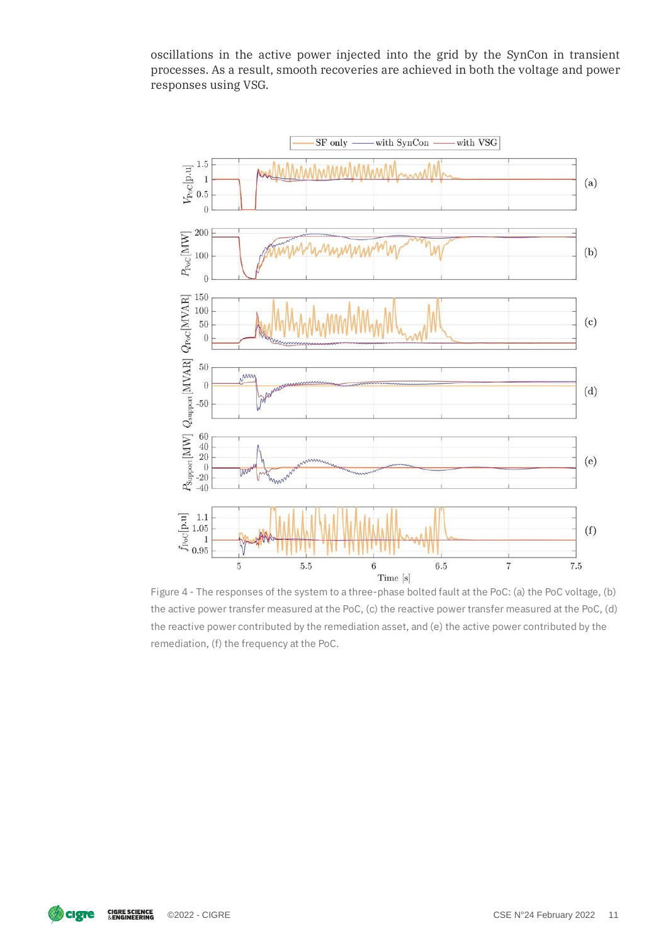oscillations in the active power injected into the grid by the SynCon in transient processes. As a result, smooth recoveries are achieved in both the voltage and power responses using VSG.



Figure 4 - The responses of the system to a three-phase bolted fault at the PoC: (a) the PoC voltage, (b) the active power transfer measured at the PoC, (c) the reactive power transfer measured at the PoC, (d) the reactive power contributed by the remediation asset, and (e) the active power contributed by the remediation, (f) the frequency at the PoC.

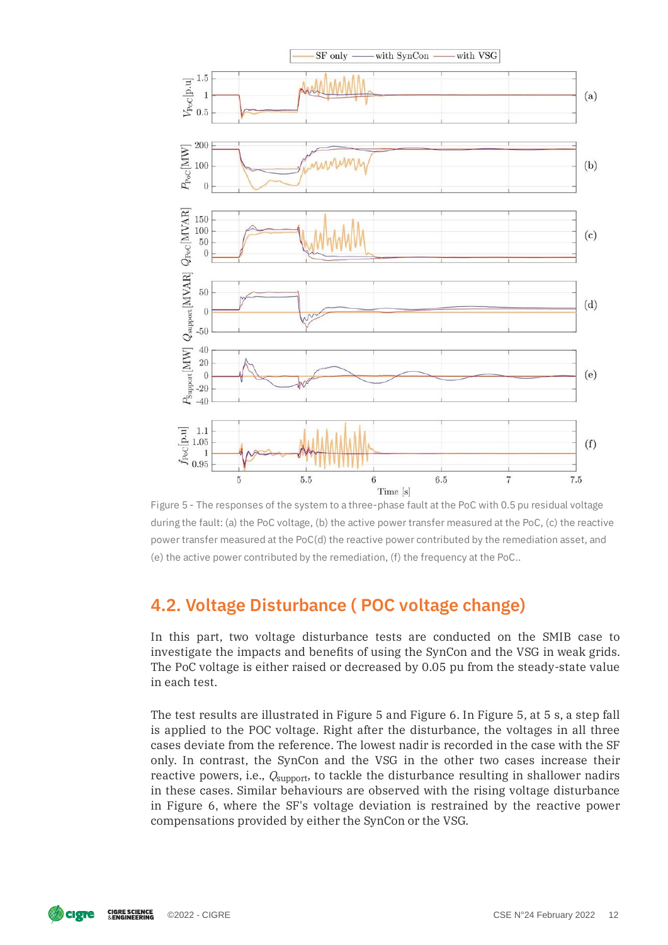

Figure 5 - The responses of the system to a three-phase fault at the PoC with 0.5 pu residual voltage during the fault: (a) the PoC voltage, (b) the active power transfer measured at the PoC, (c) the reactive power transfer measured at the PoC(d) the reactive power contributed by the remediation asset, and (e) the active power contributed by the remediation, (f) the frequency at the PoC..

### **4.2. Voltage Disturbance ( POC voltage change)**

In this part, two voltage disturbance tests are conducted on the SMIB case to investigate the impacts and benefits of using the SynCon and the VSG in weak grids. The PoC voltage is either raised or decreased by 0.05 pu from the steady-state value in each test.

The test results are illustrated in Figure 5 and Figure 6. In Figure 5, at 5 s, a step fall is applied to the POC voltage. Right after the disturbance, the voltages in all three cases deviate from the reference. The lowest nadir is recorded in the case with the SF only. In contrast, the SynCon and the VSG in the other two cases increase their reactive powers, i.e.,  $Q_{\rm support}$ , to tackle the disturbance resulting in shallower nadirs in these cases. Similar behaviours are observed with the rising voltage disturbance in Figure 6, where the SF's voltage deviation is restrained by the reactive power compensations provided by either the SynCon or the VSG.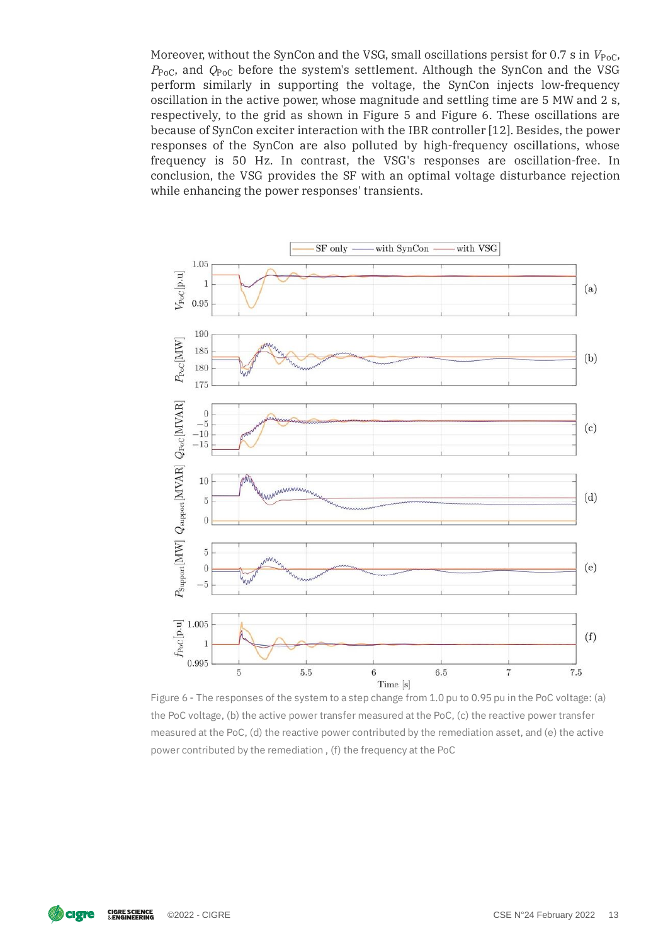Moreover, without the SynCon and the VSG, small oscillations persist for 0.7 s in  $V_{\rm PoC}$ ,  $P_{\rm PoC}$ , and  $Q_{\rm PoC}$  before the system's settlement. Although the SynCon and the VSG perform similarly in supporting the voltage, the SynCon injects low-frequency oscillation in the active power, whose magnitude and settling time are 5 MW and 2 s, respectively, to the grid as shown in Figure 5 and Figure 6. These oscillations are because of SynCon exciter interaction with the IBR controller [12]. Besides, the power responses of the SynCon are also polluted by high-frequency oscillations, whose frequency is 50 Hz. In contrast, the VSG's responses are oscillation-free. In conclusion, the VSG provides the SF with an optimal voltage disturbance rejection while enhancing the power responses' transients.



Figure 6 - The responses of the system to a step change from 1.0 pu to 0.95 pu in the PoC voltage: (a) the PoC voltage, (b) the active power transfer measured at the PoC, (c) the reactive power transfer measured at the PoC, (d) the reactive power contributed by the remediation asset, and (e) the active power contributed by the remediation , (f) the frequency at the PoC

**cigre CIGRE SCIENCE**<br>& ENGINEERING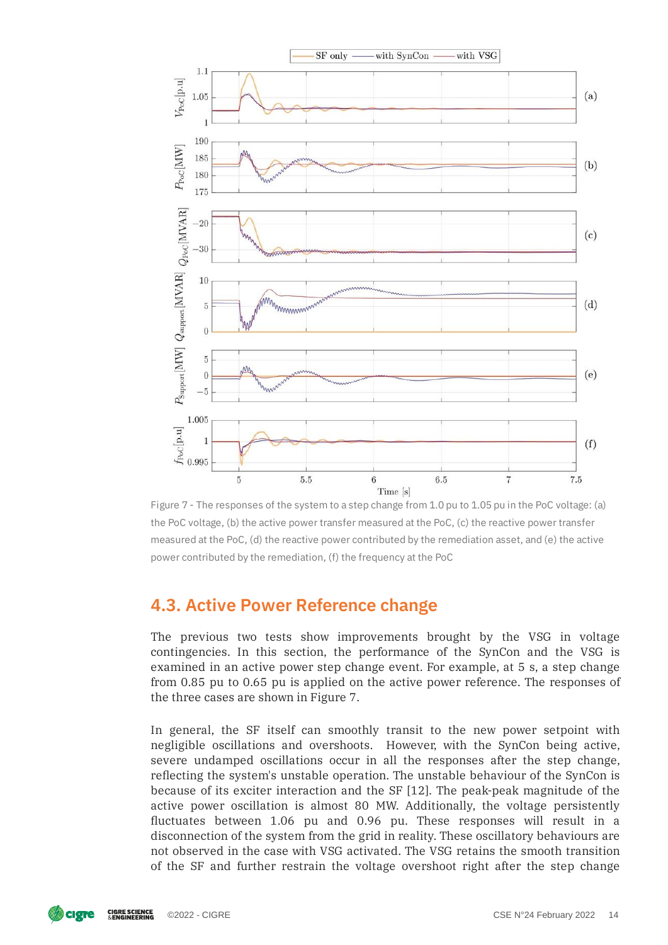

Figure 7 - The responses of the system to a step change from 1.0 pu to 1.05 pu in the PoC voltage: (a) the PoC voltage, (b) the active power transfer measured at the PoC, (c) the reactive power transfer measured at the PoC, (d) the reactive power contributed by the remediation asset, and (e) the active power contributed by the remediation, (f) the frequency at the PoC

### **4.3. Active Power Reference change**

The previous two tests show improvements brought by the VSG in voltage contingencies. In this section, the performance of the SynCon and the VSG is examined in an active power step change event. For example, at 5 s, a step change from 0.85 pu to 0.65 pu is applied on the active power reference. The responses of the three cases are shown in Figure 7.

In general, the SF itself can smoothly transit to the new power setpoint with negligible oscillations and overshoots. However, with the SynCon being active, severe undamped oscillations occur in all the responses after the step change, reflecting the system's unstable operation. The unstable behaviour of the SynCon is because of its exciter interaction and the SF [12]. The peak-peak magnitude of the active power oscillation is almost 80 MW. Additionally, the voltage persistently fluctuates between 1.06 pu and 0.96 pu. These responses will result in a disconnection of the system from the grid in reality. These oscillatory behaviours are not observed in the case with VSG activated. The VSG retains the smooth transition of the SF and further restrain the voltage overshoot right after the step change

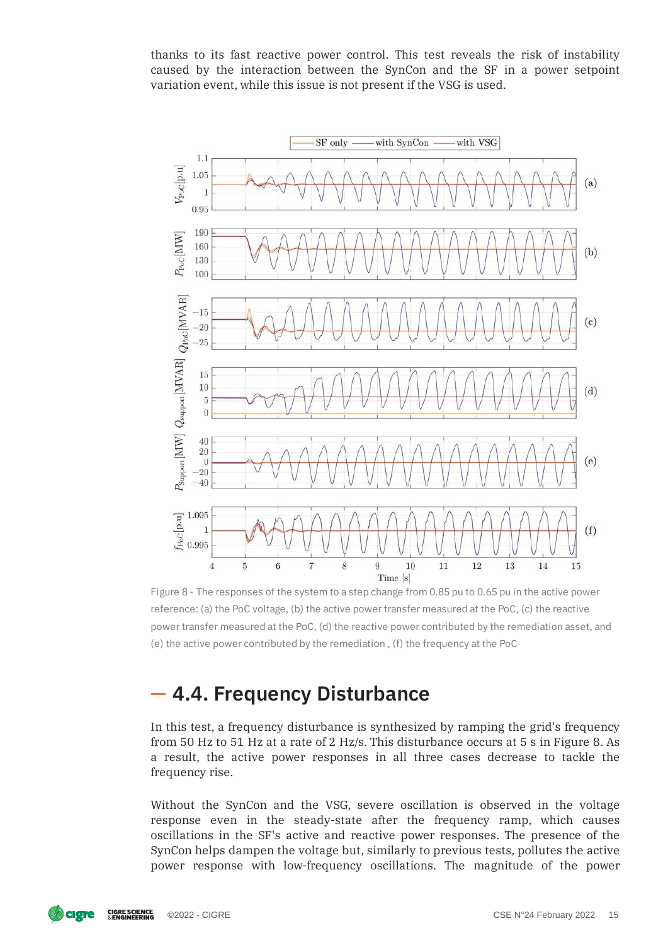thanks to its fast reactive power control. This test reveals the risk of instability caused by the interaction between the SynCon and the SF in a power setpoint variation event, while this issue is not present if the VSG is used.



Figure 8 - The responses of the system to a step change from 0.85 pu to 0.65 pu in the active power reference: (a) the PoC voltage, (b) the active power transfer measured at the PoC, (c) the reactive power transfer measured at the PoC, (d) the reactive power contributed by the remediation asset, and (e) the active power contributed by the remediation , (f) the frequency at the PoC

## **4.4. Frequency Disturbance**

In this test, a frequency disturbance is synthesized by ramping the grid's frequency from 50 Hz to 51 Hz at a rate of 2 Hz/s. This disturbance occurs at 5 s in Figure 8. As a result, the active power responses in all three cases decrease to tackle the frequency rise.

Without the SynCon and the VSG, severe oscillation is observed in the voltage response even in the steady-state after the frequency ramp, which causes oscillations in the SF's active and reactive power responses. The presence of the SynCon helps dampen the voltage but, similarly to previous tests, pollutes the active power response with low-frequency oscillations. The magnitude of the power

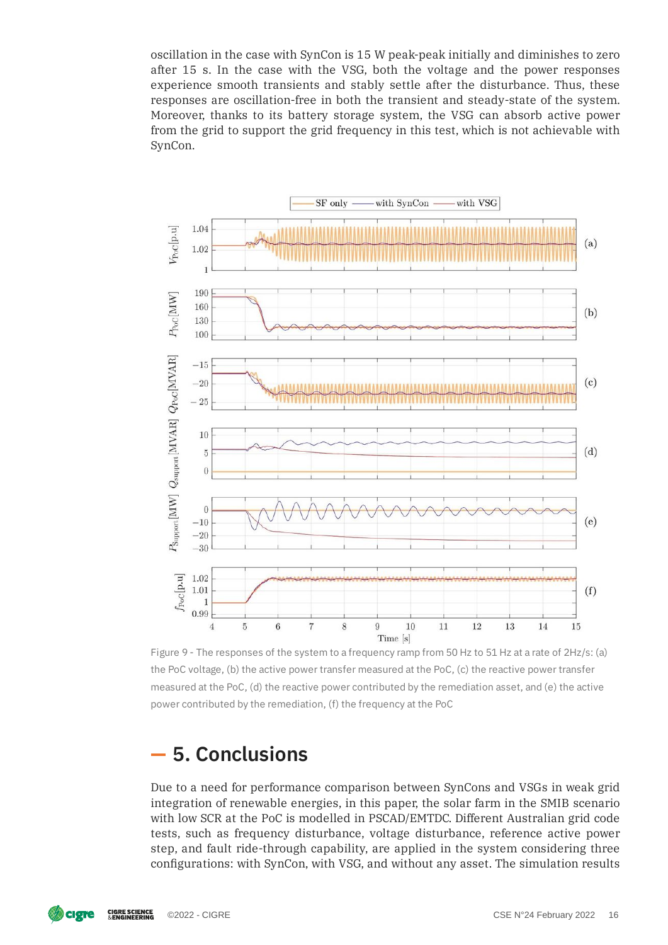oscillation in the case with SynCon is 15 W peak-peak initially and diminishes to zero after 15 s. In the case with the VSG, both the voltage and the power responses experience smooth transients and stably settle after the disturbance. Thus, these responses are oscillation-free in both the transient and steady-state of the system. Moreover, thanks to its battery storage system, the VSG can absorb active power from the grid to support the grid frequency in this test, which is not achievable with SynCon.



Figure 9 - The responses of the system to a frequency ramp from 50 Hz to 51 Hz at a rate of 2Hz/s: (a) the PoC voltage, (b) the active power transfer measured at the PoC, (c) the reactive power transfer measured at the PoC, (d) the reactive power contributed by the remediation asset, and (e) the active power contributed by the remediation, (f) the frequency at the PoC

## **5. Conclusions**

Due to a need for performance comparison between SynCons and VSGs in weak grid integration of renewable energies, in this paper, the solar farm in the SMIB scenario with low SCR at the PoC is modelled in PSCAD/EMTDC. Different Australian grid code tests, such as frequency disturbance, voltage disturbance, reference active power step, and fault ride-through capability, are applied in the system considering three configurations: with SynCon, with VSG, and without any asset. The simulation results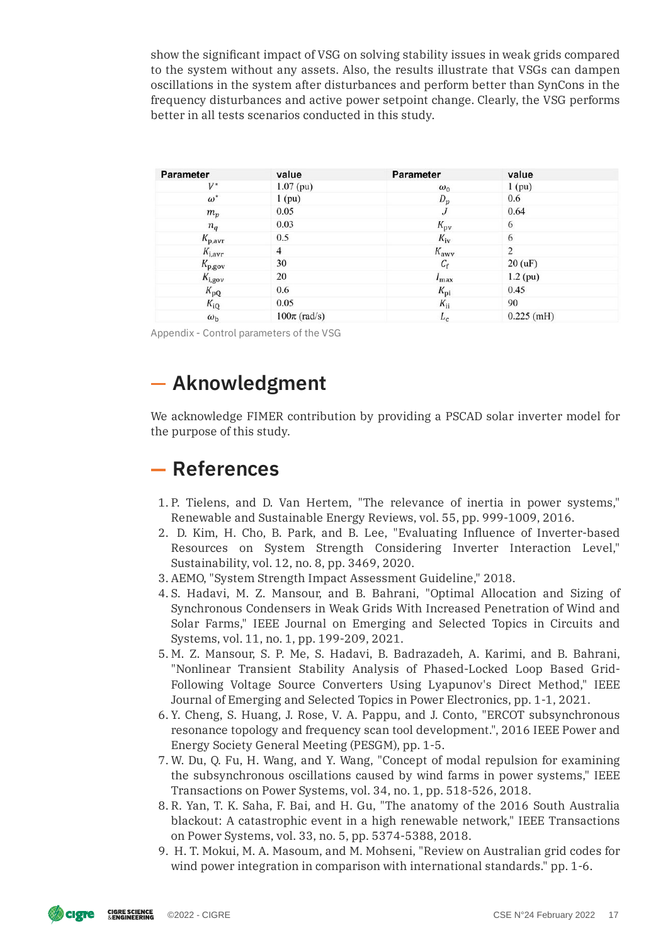show the signicant impact of VSG on solving stability issues in weak grids compared to the system without any assets. Also, the results illustrate that VSGs can dampen oscillations in the system after disturbances and perform better than SynCons in the frequency disturbances and active power setpoint change. Clearly, the VSG performs better in all tests scenarios conducted in this study.

| Parameter          | value            | <b>Parameter</b> | value               |
|--------------------|------------------|------------------|---------------------|
| $V^*$              | $1.07$ (pu)      | $\omega_0$       | $1$ (pu)            |
| $\omega^*$         | $1$ (pu)         | $D_p$            | 0.6                 |
| $m_p$              | 0.05             |                  | 0.64                |
| $n_q$              | 0.03             | $K_{\rm pv}$     | 6                   |
| $K_{\rm p,avr}$    | 0.5              | $K_{iv}$         | 6                   |
| $K_{i,avr}$        | 4                | $K_{\rm a w v}$  | 2                   |
| $K_{\rm p, gov}$   | 30               | $C_{\rm f}$      | $20 \, (\text{uF})$ |
| $K_{i,\text{gov}}$ | 20               | $I_{\max}$       | $1.2$ (pu)          |
| $K_{\rm pQ}$       | 0.6              | $K_{\rm pi}$     | 0.45                |
| $K_{iQ}$           | 0.05             | $K_{ii}$         | 90                  |
| $\omega_{\rm b}$   | $100\pi$ (rad/s) | $L_c$            | $0.225$ (mH)        |

Appendix - Control parameters of the VSG

## **Aknowledgment**

We acknowledge FIMER contribution by providing a PSCAD solar inverter model for the purpose of this study.

## **References**

- 1. P. Tielens, and D. Van Hertem, "The relevance of inertia in power systems," Renewable and Sustainable Energy Reviews, vol. 55, pp. 999-1009, 2016.
- 2. D. Kim, H. Cho, B. Park, and B. Lee, "Evaluating Influence of Inverter-based Resources on System Strength Considering Inverter Interaction Level," Sustainability, vol. 12, no. 8, pp. 3469, 2020.
- 3. AEMO, "System Strength Impact Assessment Guideline," 2018.
- 4. S. Hadavi, M. Z. Mansour, and B. Bahrani, "Optimal Allocation and Sizing of Synchronous Condensers in Weak Grids With Increased Penetration of Wind and Solar Farms," IEEE Journal on Emerging and Selected Topics in Circuits and Systems, vol. 11, no. 1, pp. 199-209, 2021.
- 5. M. Z. Mansour, S. P. Me, S. Hadavi, B. Badrazadeh, A. Karimi, and B. Bahrani, "Nonlinear Transient Stability Analysis of Phased-Locked Loop Based Grid-Following Voltage Source Converters Using Lyapunov's Direct Method," IEEE Journal of Emerging and Selected Topics in Power Electronics, pp. 1-1, 2021.
- 6. Y. Cheng, S. Huang, J. Rose, V. A. Pappu, and J. Conto, "ERCOT subsynchronous resonance topology and frequency scan tool development.", 2016 IEEE Power and Energy Society General Meeting (PESGM), pp. 1-5.
- 7. W. Du, Q. Fu, H. Wang, and Y. Wang, "Concept of modal repulsion for examining the subsynchronous oscillations caused by wind farms in power systems," IEEE Transactions on Power Systems, vol. 34, no. 1, pp. 518-526, 2018.
- 8. R. Yan, T. K. Saha, F. Bai, and H. Gu, "The anatomy of the 2016 South Australia blackout: A catastrophic event in a high renewable network," IEEE Transactions on Power Systems, vol. 33, no. 5, pp. 5374-5388, 2018.
- 9. H. T. Mokui, M. A. Masoum, and M. Mohseni, "Review on Australian grid codes for wind power integration in comparison with international standards." pp. 1-6.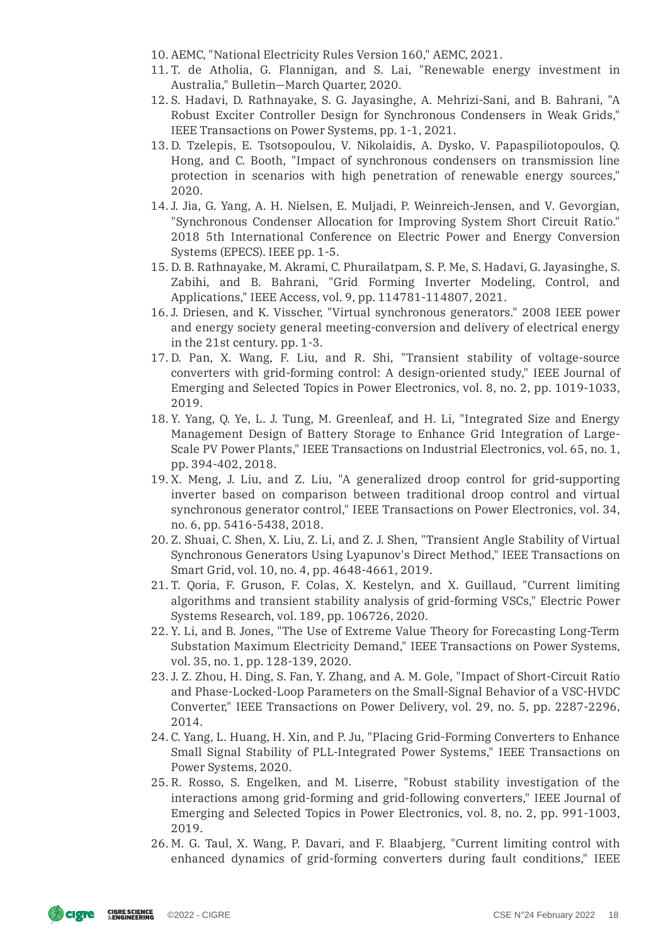- 10. AEMC, "National Electricity Rules Version 160," AEMC, 2021.
- 11. T. de Atholia, G. Flannigan, and S. Lai, "Renewable energy investment in Australia," Bulletin—March Quarter, 2020.
- 12. S. Hadavi, D. Rathnayake, S. G. Jayasinghe, A. Mehrizi-Sani, and B. Bahrani, "A Robust Exciter Controller Design for Synchronous Condensers in Weak Grids," IEEE Transactions on Power Systems, pp. 1-1, 2021.
- 13. D. Tzelepis, E. Tsotsopoulou, V. Nikolaidis, A. Dysko, V. Papaspiliotopoulos, Q. Hong, and C. Booth, "Impact of synchronous condensers on transmission line protection in scenarios with high penetration of renewable energy sources," 2020.
- 14. J. Jia, G. Yang, A. H. Nielsen, E. Muljadi, P. Weinreich-Jensen, and V. Gevorgian, "Synchronous Condenser Allocation for Improving System Short Circuit Ratio." 2018 5th International Conference on Electric Power and Energy Conversion Systems (EPECS). IEEE pp. 1-5.
- 15. D. B. Rathnayake, M. Akrami, C. Phurailatpam, S. P. Me, S. Hadavi, G. Jayasinghe, S. Zabihi, and B. Bahrani, "Grid Forming Inverter Modeling, Control, and Applications," IEEE Access, vol. 9, pp. 114781-114807, 2021.
- 16. J. Driesen, and K. Visscher, "Virtual synchronous generators." 2008 IEEE power and energy society general meeting-conversion and delivery of electrical energy in the 21st century. pp. 1-3.
- 17. D. Pan, X. Wang, F. Liu, and R. Shi, "Transient stability of voltage-source converters with grid-forming control: A design-oriented study," IEEE Journal of Emerging and Selected Topics in Power Electronics, vol. 8, no. 2, pp. 1019-1033, 2019.
- 18. Y. Yang, Q. Ye, L. J. Tung, M. Greenleaf, and H. Li, "Integrated Size and Energy Management Design of Battery Storage to Enhance Grid Integration of Large-Scale PV Power Plants," IEEE Transactions on Industrial Electronics, vol. 65, no. 1, pp. 394-402, 2018.
- 19. X. Meng, J. Liu, and Z. Liu, "A generalized droop control for grid-supporting inverter based on comparison between traditional droop control and virtual synchronous generator control," IEEE Transactions on Power Electronics, vol. 34, no. 6, pp. 5416-5438, 2018.
- 20. Z. Shuai, C. Shen, X. Liu, Z. Li, and Z. J. Shen, "Transient Angle Stability of Virtual Synchronous Generators Using Lyapunov's Direct Method," IEEE Transactions on Smart Grid, vol. 10, no. 4, pp. 4648-4661, 2019.
- 21. T. Qoria, F. Gruson, F. Colas, X. Kestelyn, and X. Guillaud, "Current limiting algorithms and transient stability analysis of grid-forming VSCs," Electric Power Systems Research, vol. 189, pp. 106726, 2020.
- 22. Y. Li, and B. Jones, "The Use of Extreme Value Theory for Forecasting Long-Term Substation Maximum Electricity Demand," IEEE Transactions on Power Systems, vol. 35, no. 1, pp. 128-139, 2020.
- 23. J. Z. Zhou, H. Ding, S. Fan, Y. Zhang, and A. M. Gole, "Impact of Short-Circuit Ratio and Phase-Locked-Loop Parameters on the Small-Signal Behavior of a VSC-HVDC Converter," IEEE Transactions on Power Delivery, vol. 29, no. 5, pp. 2287-2296, 2014.
- 24. C. Yang, L. Huang, H. Xin, and P. Ju, "Placing Grid-Forming Converters to Enhance Small Signal Stability of PLL-Integrated Power Systems," IEEE Transactions on Power Systems, 2020.
- 25. R. Rosso, S. Engelken, and M. Liserre, "Robust stability investigation of the interactions among grid-forming and grid-following converters," IEEE Journal of Emerging and Selected Topics in Power Electronics, vol. 8, no. 2, pp. 991-1003, 2019.
- 26. M. G. Taul, X. Wang, P. Davari, and F. Blaabjerg, "Current limiting control with enhanced dynamics of grid-forming converters during fault conditions," IEEE